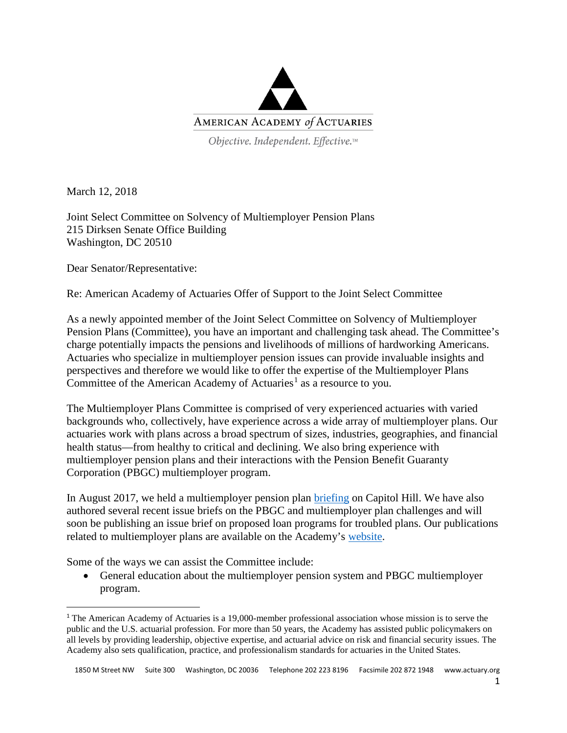

Objective. Independent. Effective.™

March 12, 2018

Joint Select Committee on Solvency of Multiemployer Pension Plans 215 Dirksen Senate Office Building Washington, DC 20510

Dear Senator/Representative:

Re: American Academy of Actuaries Offer of Support to the Joint Select Committee

As a newly appointed member of the Joint Select Committee on Solvency of Multiemployer Pension Plans (Committee), you have an important and challenging task ahead. The Committee's charge potentially impacts the pensions and livelihoods of millions of hardworking Americans. Actuaries who specialize in multiemployer pension issues can provide invaluable insights and perspectives and therefore we would like to offer the expertise of the Multiemployer Plans Committee of the American Academy of Actuaries<sup>[1](#page-0-0)</sup> as a resource to you.

The Multiemployer Plans Committee is comprised of very experienced actuaries with varied backgrounds who, collectively, have experience across a wide array of multiemployer plans. Our actuaries work with plans across a broad spectrum of sizes, industries, geographies, and financial health status—from healthy to critical and declining. We also bring experience with multiemployer pension plans and their interactions with the Pension Benefit Guaranty Corporation (PBGC) multiemployer program.

In August 2017, we held a multiemployer pension plan [briefing](http://www.actuary.org/files/publications/HillBriefing-Multiemployer_June_27_2017.pdf) on Capitol Hill. We have also authored several recent issue briefs on the PBGC and multiemployer plan challenges and will soon be publishing an issue brief on proposed loan programs for troubled plans. Our publications related to multiemployer plans are available on the Academy's [website.](http://www.actuary.org/category/site-section/public-policy/pension/m-employer-pension-plans)

Some of the ways we can assist the Committee include:

• General education about the multiemployer pension system and PBGC multiemployer program.

<span id="page-0-0"></span> <sup>1</sup> The American Academy of Actuaries is a 19,000-member professional association whose mission is to serve the public and the U.S. actuarial profession. For more than 50 years, the Academy has assisted public policymakers on all levels by providing leadership, objective expertise, and actuarial advice on risk and financial security issues. The Academy also sets qualification, practice, and professionalism standards for actuaries in the United States.